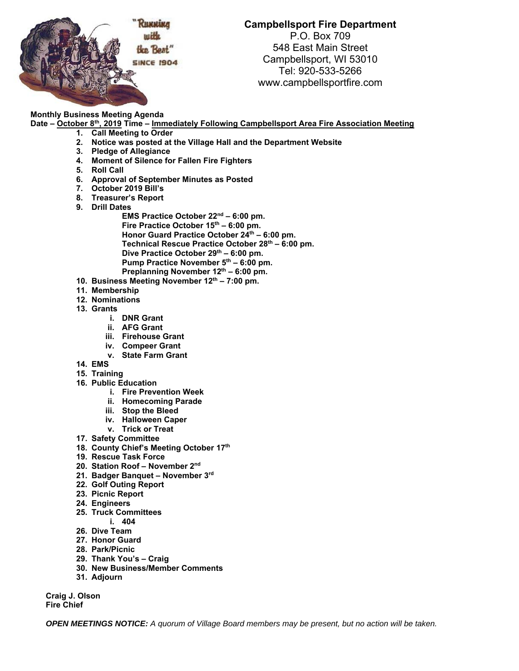

## **Campbellsport Fire Department**

P.O. Box 709 548 East Main Street Campbellsport, WI 53010 Tel: 920-533-5266 www.campbellsportfire.com

## **Monthly Business Meeting Agenda**

Date – October 8<sup>th</sup>, 2019 Time – Immediately Following Campbellsport Area Fire Association Meeting

- **1. Call Meeting to Order**
- **2. Notice was posted at the Village Hall and the Department Website**
- **3. Pledge of Allegiance**
- **4. Moment of Silence for Fallen Fire Fighters**
- **5. Roll Call**
- **6. Approval of September Minutes as Posted**
- **7. October 2019 Bill's**
- **8. Treasurer's Report**
- **9. Drill Dates** 
	- **EMS Practice October 22nd 6:00 pm.**  Fire Practice October 15<sup>th</sup> – 6:00 pm. Honor Guard Practice October 24<sup>th</sup> – 6:00 pm. **Technical Rescue Practice October 28th – 6:00 pm.**  Dive Practice October 29<sup>th</sup> – 6:00 pm. Pump Practice November 5<sup>th</sup> – 6:00 pm. Preplanning November 12<sup>th</sup> – 6:00 pm.
- 10. Business Meeting November 12<sup>th</sup> 7:00 pm.
- **11. Membership**
- **12. Nominations**
- **13. Grants** 
	- **i. DNR Grant**
	- **ii. AFG Grant**
	- **iii. Firehouse Grant**
	- **iv. Compeer Grant**
	- **v. State Farm Grant**
- **14. EMS**
- **15. Training**
- **16. Public Education** 
	- **i. Fire Prevention Week**
	- **ii. Homecoming Parade**
	- **iii. Stop the Bleed**
	- **iv. Halloween Caper**
	- **v. Trick or Treat**
- **17. Safety Committee**
- **18. County Chief's Meeting October 17th**
- **19. Rescue Task Force**
- **20. Station Roof November 2nd**
- **21. Badger Banquet November 3rd**
- **22. Golf Outing Report**
- **23. Picnic Report**
- **24. Engineers**
- **25. Truck Committees** 
	- **i. 404**
- **26. Dive Team**
- **27. Honor Guard**
- **28. Park/Picnic**
- **29. Thank You's Craig**
- **30. New Business/Member Comments**
- **31. Adjourn**

**Craig J. Olson Fire Chief**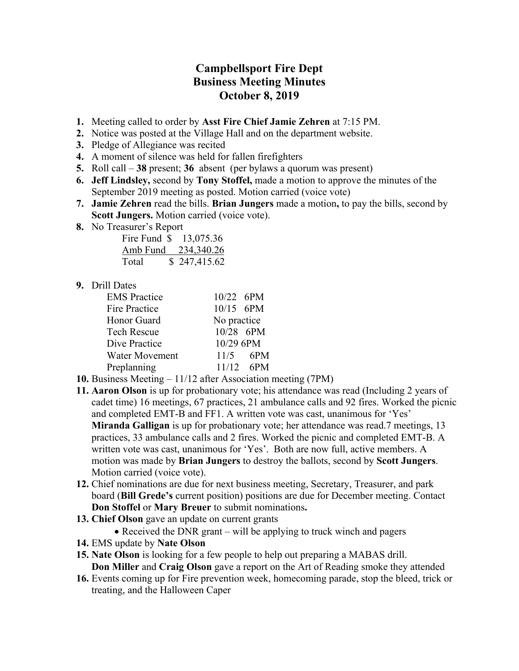## **Campbellsport Fire Dept Business Meeting Minutes October 8, 2019**

- **1.** Meeting called to order by **Asst Fire Chief Jamie Zehren** at 7:15 PM.
- **2.** Notice was posted at the Village Hall and on the department website.
- **3.** Pledge of Allegiance was recited
- **4.** A moment of silence was held for fallen firefighters
- **5.** Roll call **38** present; **36** absent (per bylaws a quorum was present)
- **6. Jeff Lindsley,** second by **Tony Stoffel,** made a motion to approve the minutes of the September 2019 meeting as posted. Motion carried (voice vote)
- **7. Jamie Zehren** read the bills. **Brian Jungers** made a motion**,** to pay the bills, second by **Scott Jungers.** Motion carried (voice vote).
- **8.** No Treasurer's Report

| Fire Fund \$ | 13,075.36    |
|--------------|--------------|
| Amb Fund     | 234,340.26   |
| Total        | \$247,415.62 |

## **9.** Drill Dates

| <b>EMS</b> Practice  | 10/22 6PM   |             |  |
|----------------------|-------------|-------------|--|
| <b>Fire Practice</b> | $10/15$ 6PM |             |  |
| Honor Guard          |             | No practice |  |
| <b>Tech Rescue</b>   | 10/28 6PM   |             |  |
| Dive Practice        | 10/29 6PM   |             |  |
| Water Movement       |             | $11/5$ 6PM  |  |
| Preplanning          |             | $11/12$ 6PM |  |

- **10.** Business Meeting 11/12 after Association meeting (7PM)
- **11. Aaron Olson** is up for probationary vote; his attendance was read (Including 2 years of cadet time) 16 meetings, 67 practices, 21 ambulance calls and 92 fires. Worked the picnic and completed EMT-B and FF1. A written vote was cast, unanimous for 'Yes' **Miranda Galligan** is up for probationary vote; her attendance was read.7 meetings, 13 practices, 33 ambulance calls and 2 fires. Worked the picnic and completed EMT-B. A written vote was cast, unanimous for 'Yes'. Both are now full, active members. A motion was made by **Brian Jungers** to destroy the ballots, second by **Scott Jungers**. Motion carried (voice vote).
- **12.** Chief nominations are due for next business meeting, Secretary, Treasurer, and park board (**Bill Grede's** current position) positions are due for December meeting. Contact **Don Stoffel** or **Mary Breuer** to submit nominations**.**
- **13. Chief Olson** gave an update on current grants
	- $\bullet$  Received the DNR grant will be applying to truck winch and pagers
- **14.** EMS update by **Nate Olson**
- **15. Nate Olson** is looking for a few people to help out preparing a MABAS drill. **Don Miller** and **Craig Olson** gave a report on the Art of Reading smoke they attended
- **16.** Events coming up for Fire prevention week, homecoming parade, stop the bleed, trick or treating, and the Halloween Caper